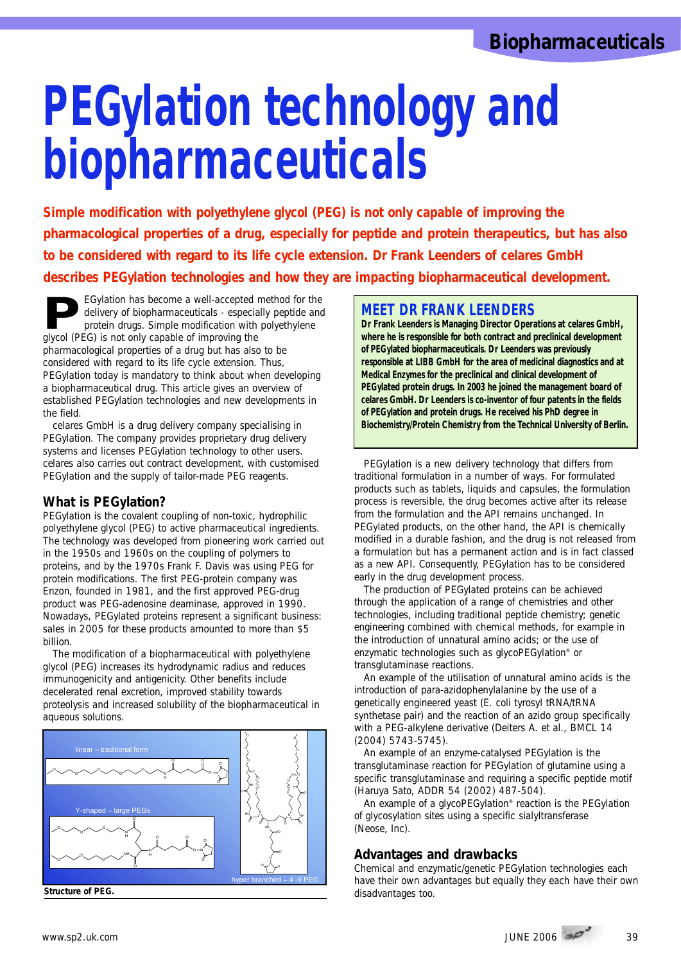# **PEGylation technology and biopharmaceuticals**

*Simple modification with polyethylene glycol (PEG) is not only capable of improving the pharmacological properties of a drug, especially for peptide and protein therapeutics, but has also to be considered with regard to its life cycle extension. Dr Frank Leenders of celares GmbH describes PEGylation technologies and how they are impacting biopharmaceutical development.*

**PEGylation Technologies and now the**<br>EGylation has become a well-accepted method for the<br>delivery of biopharmaceuticals - especially peptide and<br>protein drugs. Simple modification with polyethylene<br>alvcol (PEG) is not onl delivery of biopharmaceuticals - especially peptide and protein drugs. Simple modification with polyethylene glycol (PEG) is not only capable of improving the pharmacological properties of a drug but has also to be considered with regard to its life cycle extension. Thus, PEGylation today is mandatory to think about when developing a biopharmaceutical drug. This article gives an overview of established PEGylation technologies and new developments in the field.

celares GmbH is a drug delivery company specialising in PEGylation. The company provides proprietary drug delivery systems and licenses PEGylation technology to other users. celares also carries out contract development, with customised PEGylation and the supply of tailor-made PEG reagents.

## **What is PEGylation?**

PEGylation is the covalent coupling of non-toxic, hydrophilic polyethylene glycol (PEG) to active pharmaceutical ingredients. The technology was developed from pioneering work carried out in the 1950s and 1960s on the coupling of polymers to proteins, and by the 1970s Frank F. Davis was using PEG for protein modifications. The first PEG-protein company was Enzon, founded in 1981, and the first approved PEG-drug product was PEG-adenosine deaminase, approved in 1990. Nowadays, PEGylated proteins represent a significant business: sales in 2005 for these products amounted to more than \$5 billion.

The modification of a biopharmaceutical with polyethylene glycol (PEG) increases its hydrodynamic radius and reduces immunogenicity and antigenicity. Other benefits include decelerated renal excretion, improved stability towards proteolysis and increased solubility of the biopharmaceutical in aqueous solutions.



#### **Structure of PEG.**

## **MEET DR FRANK LEENDERS**

**Dr Frank Leenders is Managing Director Operations at celares GmbH, where he is responsible for both contract and preclinical development of PEGylated biopharmaceuticals. Dr Leenders was previously responsible at LIBB GmbH for the area of medicinal diagnostics and at Medical Enzymes for the preclinical and clinical development of PEGylated protein drugs. In 2003 he joined the management board of celares GmbH. Dr Leenders is co-inventor of four patents in the fields of PEGylation and protein drugs. He received his PhD degree in Biochemistry/Protein Chemistry from the Technical University of Berlin.**

PEGylation is a new delivery technology that differs from traditional formulation in a number of ways. For formulated products such as tablets, liquids and capsules, the formulation process is reversible, the drug becomes active after its release from the formulation and the API remains unchanged. In PEGylated products, on the other hand, the API is chemically modified in a durable fashion, and the drug is not released from a formulation but has a permanent action and is in fact classed as a new API. Consequently, PEGylation has to be considered early in the drug development process.

The production of PEGylated proteins can be achieved through the application of a range of chemistries and other technologies, including traditional peptide chemistry; genetic engineering combined with chemical methods, for example in the introduction of unnatural amino acids; or the use of enzymatic technologies such as glycoPEGylation® or transglutaminase reactions.

An example of the utilisation of unnatural amino acids is the introduction of para-azidophenylalanine by the use of a genetically engineered yeast (E. coli tyrosyl tRNA/tRNA synthetase pair) and the reaction of an azido group specifically with a PEG-alkylene derivative (Deiters A. et al., BMCL 14 (2004) 5743-5745).

An example of an enzyme-catalysed PEGylation is the transglutaminase reaction for PEGylation of glutamine using a specific transglutaminase and requiring a specific peptide motif (Haruya Sato, ADDR 54 (2002) 487-504).

An example of a glycoPEGylation® reaction is the PEGylation of glycosylation sites using a specific sialyltransferase (Neose, Inc).

### **Advantages and drawbacks**

Chemical and enzymatic/genetic PEGylation technologies each have their own advantages but equally they each have their own disadvantages too.